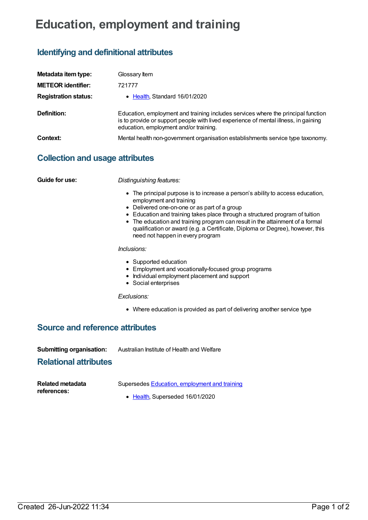# **Education, employment and training**

# **Identifying and definitional attributes**

| Metadata item type:         | Glossary Item                                                                                                                                                                                                      |
|-----------------------------|--------------------------------------------------------------------------------------------------------------------------------------------------------------------------------------------------------------------|
| <b>METEOR</b> identifier:   | 721777                                                                                                                                                                                                             |
| <b>Registration status:</b> | • Health, Standard 16/01/2020                                                                                                                                                                                      |
| Definition:                 | Education, employment and training includes services where the principal function<br>is to provide or support people with lived experience of mental illness, in gaining<br>education, employment and/or training. |
| Context:                    | Mental health non-government organisation establishments service type taxonomy.                                                                                                                                    |

## **Collection and usage attributes**

**Guide for use:** *Distinguishing features:*

- The principal purpose is to increase a person's ability to access education, employment and training
- Delivered one-on-one or as part of a group
- Education and training takes place through a structured program of tuition
- The education and training program can result in the attainment of a formal qualification or award (e.g. a Certificate, Diploma or Degree), however, this need not happen in every program

*Inclusions:*

- Supported education
- Employment and vocationally-focused group programs
- Individual employment placement and support
- Social enterprises

*Exclusions:*

Where education is provided as part of delivering another service type

### **Source and reference attributes**

**Submitting organisation:** Australian Institute of Health and Welfare

### **Relational attributes**

| Related metadata | Supersedes Education, employment and training |
|------------------|-----------------------------------------------|
| references:      |                                               |
|                  | • Health, Superseded 16/01/2020               |